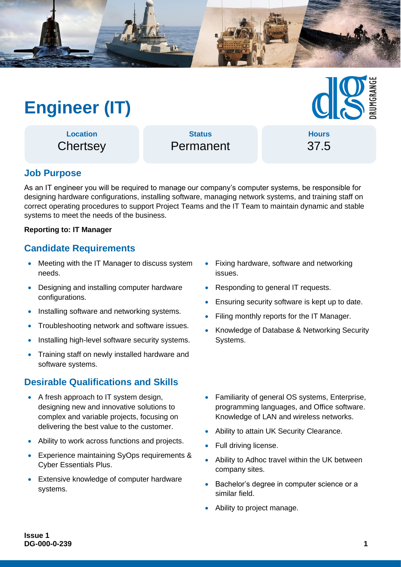

# **Engineer (IT)**

**Location Chertsey** 

**Status** Permanent

**Hours** 37.5

## **Job Purpose**

As an IT engineer you will be required to manage our company's computer systems, be responsible for designing hardware configurations, installing software, managing network systems, and training staff on correct operating procedures to support Project Teams and the IT Team to maintain dynamic and stable systems to meet the needs of the business.

#### **Reporting to: IT Manager**

#### **Candidate Requirements**

- Meeting with the IT Manager to discuss system needs.
- Designing and installing computer hardware configurations.
- Installing software and networking systems.
- Troubleshooting network and software issues.
- Installing high-level software security systems.
- Training staff on newly installed hardware and software systems.

### **Desirable Qualifications and Skills**

- A fresh approach to IT system design, designing new and innovative solutions to complex and variable projects, focusing on delivering the best value to the customer.
- Ability to work across functions and projects.
- Experience maintaining SyOps requirements & Cyber Essentials Plus.
- Extensive knowledge of computer hardware systems.
- Fixing hardware, software and networking issues.
- Responding to general IT requests.
- Ensuring security software is kept up to date.
- Filing monthly reports for the IT Manager.
- Knowledge of Database & Networking Security Systems.
- Familiarity of general OS systems, Enterprise, programming languages, and Office software. Knowledge of LAN and wireless networks.
- Ability to attain UK Security Clearance.
- Full driving license.
- Ability to Adhoc travel within the UK between company sites.
- Bachelor's degree in computer science or a similar field.
- Ability to project manage.